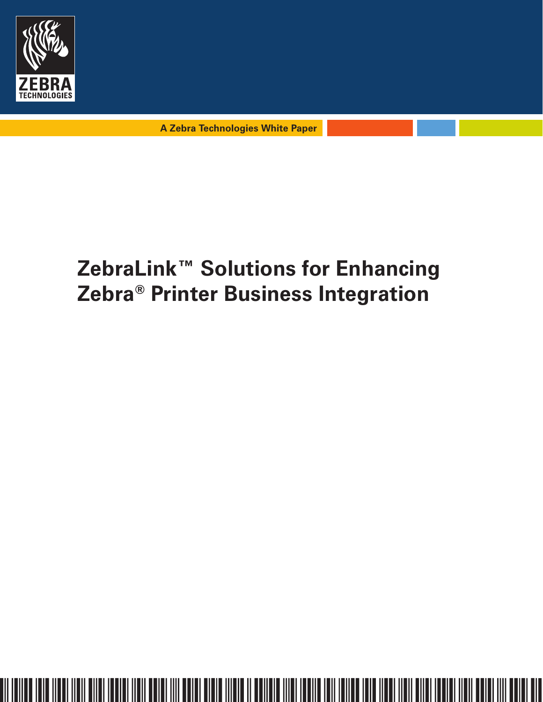

# **ZebraLink™ Solutions for Enhancing Zebra® Printer Business Integration**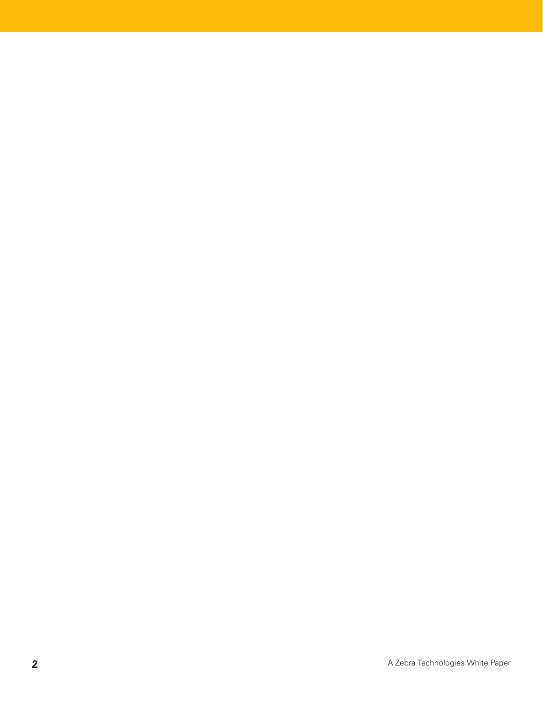#### A Zebra Technologies White Paper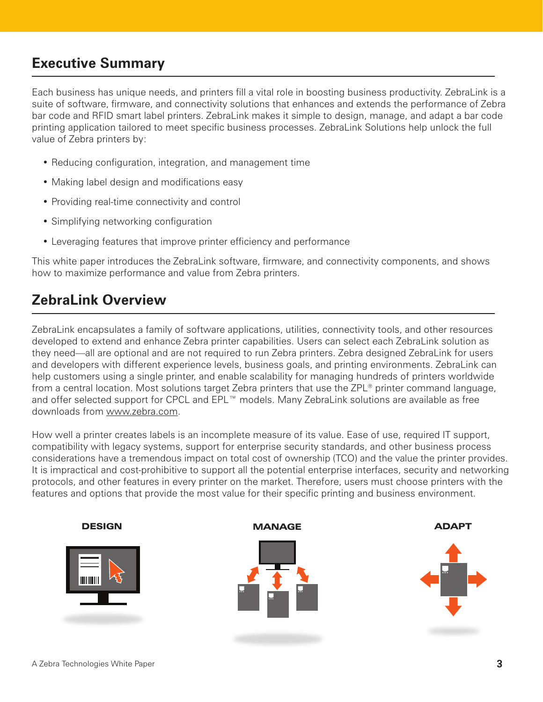## **Executive Summary**

Each business has unique needs, and printers fill a vital role in boosting business productivity. ZebraLink is a suite of software, firmware, and connectivity solutions that enhances and extends the performance of Zebra bar code and RFID smart label printers. ZebraLink makes it simple to design, manage, and adapt a bar code printing application tailored to meet specific business processes. ZebraLink Solutions help unlock the full value of Zebra printers by:

- Reducing configuration, integration, and management time
- Making label design and modifications easy
- Providing real-time connectivity and control
- Simplifying networking configuration
- Leveraging features that improve printer efficiency and performance

This white paper introduces the ZebraLink software, firmware, and connectivity components, and shows how to maximize performance and value from Zebra printers.

## **ZebraLink Overview**

ZebraLink encapsulates a family of software applications, utilities, connectivity tools, and other resources developed to extend and enhance Zebra printer capabilities. Users can select each ZebraLink solution as they need—all are optional and are not required to run Zebra printers. Zebra designed ZebraLink for users and developers with different experience levels, business goals, and printing environments. ZebraLink can help customers using a single printer, and enable scalability for managing hundreds of printers worldwide from a central location. Most solutions target Zebra printers that use the ZPL® printer command language, and offer selected support for CPCL and EPL™ models. Many ZebraLink solutions are available as free downloads from www.zebra.com.

How well a printer creates labels is an incomplete measure of its value. Ease of use, required IT support, compatibility with legacy systems, support for enterprise security standards, and other business process considerations have a tremendous impact on total cost of ownership (TCO) and the value the printer provides. It is impractical and cost-prohibitive to support all the potential enterprise interfaces, security and networking protocols, and other features in every printer on the market. Therefore, users must choose printers with the features and options that provide the most value for their specific printing and business environment.

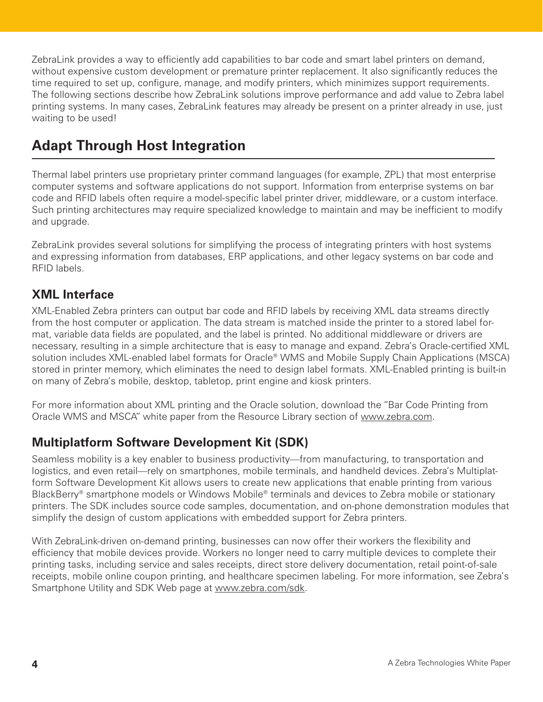ZebraLink provides a way to efficiently add capabilities to bar code and smart label printers on demand, without expensive custom development or premature printer replacement. It also significantly reduces the time required to set up, configure, manage, and modify printers, which minimizes support requirements. The following sections describe how ZebraLink solutions improve performance and add value to Zebra label printing systems. In many cases, ZebraLink features may already be present on a printer already in use, just waiting to be used!

# **Adapt Through Host Integration**

Thermal label printers use proprietary printer command languages (for example, ZPL) that most enterprise computer systems and software applications do not support. Information from enterprise systems on bar code and RFID labels often require a model-specific label printer driver, middleware, or a custom interface. Such printing architectures may require specialized knowledge to maintain and may be inefficient to modify and upgrade.

ZebraLink provides several solutions for simplifying the process of integrating printers with host systems and expressing information from databases, ERP applications, and other legacy systems on bar code and RFID labels.

### **XML Interface**

XML-Enabled Zebra printers can output bar code and RFID labels by receiving XML data streams directly from the host computer or application. The data stream is matched inside the printer to a stored label format, variable data fields are populated, and the label is printed. No additional middleware or drivers are necessary, resulting in a simple architecture that is easy to manage and expand. Zebra's Oracle-certified XML solution includes XML-enabled label formats for Oracle® WMS and Mobile Supply Chain Applications (MSCA) stored in printer memory, which eliminates the need to design label formats. XML-Enabled printing is built-in on many of Zebra's mobile, desktop, tabletop, print engine and kiosk printers.

For more information about XML printing and the Oracle solution, download the "Bar Code Printing from Oracle WMS and MSCA" white paper from the Resource Library section of www.zebra.com.

### **Multiplatform Software Development Kit (SDK)**

Seamless mobility is a key enabler to business productivity—from manufacturing, to transportation and logistics, and even retail—rely on smartphones, mobile terminals, and handheld devices. Zebra's Multiplatform Software Development Kit allows users to create new applications that enable printing from various BlackBerry® smartphone models or Windows Mobile® terminals and devices to Zebra mobile or stationary printers. The SDK includes source code samples, documentation, and on-phone demonstration modules that simplify the design of custom applications with embedded support for Zebra printers.

With ZebraLink-driven on-demand printing, businesses can now offer their workers the flexibility and efficiency that mobile devices provide. Workers no longer need to carry multiple devices to complete their printing tasks, including service and sales receipts, direct store delivery documentation, retail point-of-sale receipts, mobile online coupon printing, and healthcare specimen labeling. For more information, see Zebra's Smartphone Utility and SDK Web page at www.zebra.com/sdk.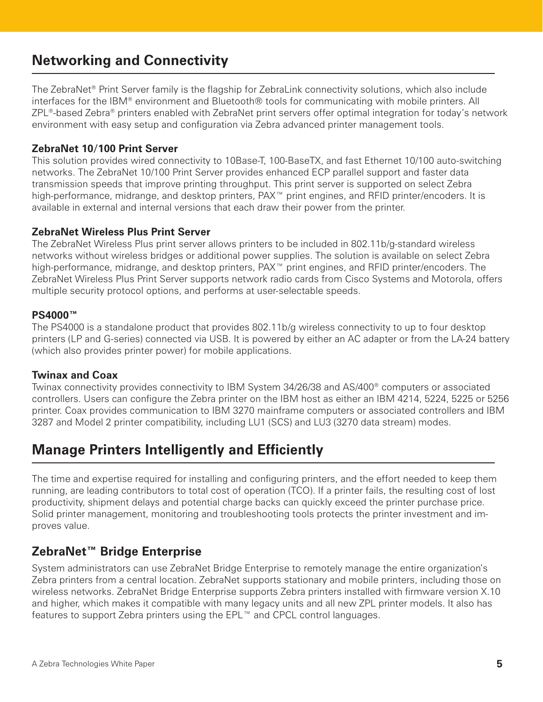# **Networking and Connectivity**

The ZebraNet® Print Server family is the flagship for ZebraLink connectivity solutions, which also include interfaces for the IBM® environment and Bluetooth® tools for communicating with mobile printers. All ZPL®-based Zebra® printers enabled with ZebraNet print servers offer optimal integration for today's network environment with easy setup and configuration via Zebra advanced printer management tools.

#### **ZebraNet 10/100 Print Server**

This solution provides wired connectivity to 10Base-T, 100-BaseTX, and fast Ethernet 10/100 auto-switching networks. The ZebraNet 10/100 Print Server provides enhanced ECP parallel support and faster data transmission speeds that improve printing throughput. This print server is supported on select Zebra high-performance, midrange, and desktop printers, PAX™ print engines, and RFID printer/encoders. It is available in external and internal versions that each draw their power from the printer.

#### **ZebraNet Wireless Plus Print Server**

The ZebraNet Wireless Plus print server allows printers to be included in 802.11b/g-standard wireless networks without wireless bridges or additional power supplies. The solution is available on select Zebra high-performance, midrange, and desktop printers, PAX™ print engines, and RFID printer/encoders. The ZebraNet Wireless Plus Print Server supports network radio cards from Cisco Systems and Motorola, offers multiple security protocol options, and performs at user-selectable speeds.

#### **PS4000™**

The PS4000 is a standalone product that provides 802.11b/g wireless connectivity to up to four desktop printers (LP and G-series) connected via USB. It is powered by either an AC adapter or from the LA-24 battery (which also provides printer power) for mobile applications.

#### **Twinax and Coax**

Twinax connectivity provides connectivity to IBM System 34/26/38 and AS/400® computers or associated controllers. Users can configure the Zebra printer on the IBM host as either an IBM 4214, 5224, 5225 or 5256 printer. Coax provides communication to IBM 3270 mainframe computers or associated controllers and IBM 3287 and Model 2 printer compatibility, including LU1 (SCS) and LU3 (3270 data stream) modes.

# **Manage Printers Intelligently and Efficiently**

The time and expertise required for installing and configuring printers, and the effort needed to keep them running, are leading contributors to total cost of operation (TCO). If a printer fails, the resulting cost of lost productivity, shipment delays and potential charge backs can quickly exceed the printer purchase price. Solid printer management, monitoring and troubleshooting tools protects the printer investment and improves value.

### **ZebraNet™ Bridge Enterprise**

System administrators can use ZebraNet Bridge Enterprise to remotely manage the entire organization's Zebra printers from a central location. ZebraNet supports stationary and mobile printers, including those on wireless networks. ZebraNet Bridge Enterprise supports Zebra printers installed with firmware version X.10 and higher, which makes it compatible with many legacy units and all new ZPL printer models. It also has features to support Zebra printers using the EPL™ and CPCL control languages.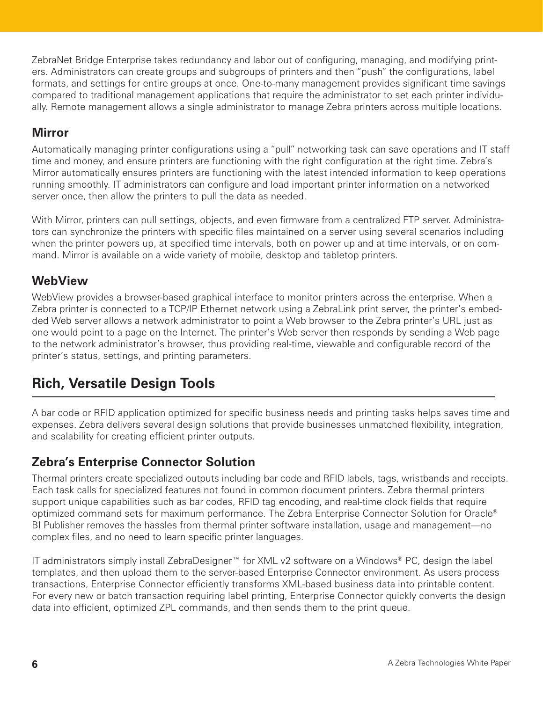ZebraNet Bridge Enterprise takes redundancy and labor out of configuring, managing, and modifying printers. Administrators can create groups and subgroups of printers and then "push" the configurations, label formats, and settings for entire groups at once. One-to-many management provides significant time savings compared to traditional management applications that require the administrator to set each printer individually. Remote management allows a single administrator to manage Zebra printers across multiple locations.

### **Mirror**

Automatically managing printer configurations using a "pull" networking task can save operations and IT staff time and money, and ensure printers are functioning with the right configuration at the right time. Zebra's Mirror automatically ensures printers are functioning with the latest intended information to keep operations running smoothly. IT administrators can configure and load important printer information on a networked server once, then allow the printers to pull the data as needed.

With Mirror, printers can pull settings, objects, and even firmware from a centralized FTP server. Administrators can synchronize the printers with specific files maintained on a server using several scenarios including when the printer powers up, at specified time intervals, both on power up and at time intervals, or on command. Mirror is available on a wide variety of mobile, desktop and tabletop printers.

### **WebView**

WebView provides a browser-based graphical interface to monitor printers across the enterprise. When a Zebra printer is connected to a TCP/IP Ethernet network using a ZebraLink print server, the printer's embedded Web server allows a network administrator to point a Web browser to the Zebra printer's URL just as one would point to a page on the Internet. The printer's Web server then responds by sending a Web page to the network administrator's browser, thus providing real-time, viewable and configurable record of the printer's status, settings, and printing parameters.

# **Rich, Versatile Design Tools**

A bar code or RFID application optimized for specific business needs and printing tasks helps saves time and expenses. Zebra delivers several design solutions that provide businesses unmatched flexibility, integration, and scalability for creating efficient printer outputs.

### **Zebra's Enterprise Connector Solution**

Thermal printers create specialized outputs including bar code and RFID labels, tags, wristbands and receipts. Each task calls for specialized features not found in common document printers. Zebra thermal printers support unique capabilities such as bar codes, RFID tag encoding, and real-time clock fields that require optimized command sets for maximum performance. The Zebra Enterprise Connector Solution for Oracle® BI Publisher removes the hassles from thermal printer software installation, usage and management—no complex files, and no need to learn specific printer languages.

IT administrators simply install ZebraDesigner™ for XML v2 software on a Windows® PC, design the label templates, and then upload them to the server-based Enterprise Connector environment. As users process transactions, Enterprise Connector efficiently transforms XML-based business data into printable content. For every new or batch transaction requiring label printing, Enterprise Connector quickly converts the design data into efficient, optimized ZPL commands, and then sends them to the print queue.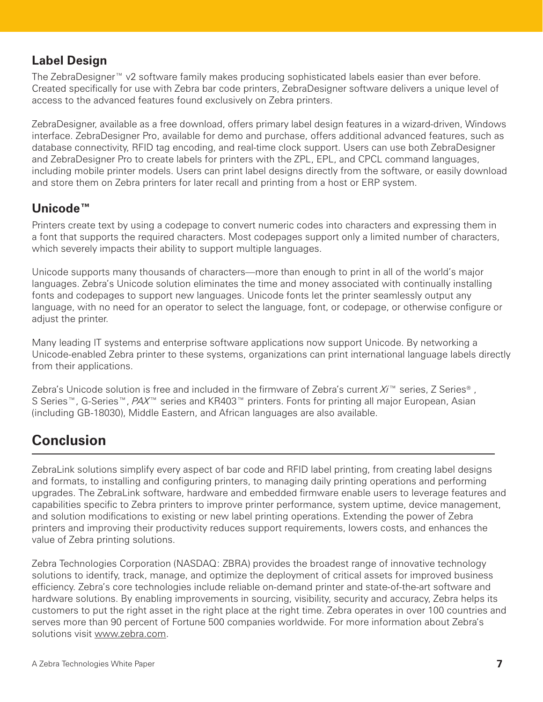### **Label Design**

The ZebraDesigner™ v2 software family makes producing sophisticated labels easier than ever before. Created specifically for use with Zebra bar code printers, ZebraDesigner software delivers a unique level of access to the advanced features found exclusively on Zebra printers.

ZebraDesigner, available as a free download, offers primary label design features in a wizard-driven, Windows interface. ZebraDesigner Pro, available for demo and purchase, offers additional advanced features, such as database connectivity, RFID tag encoding, and real-time clock support. Users can use both ZebraDesigner and ZebraDesigner Pro to create labels for printers with the ZPL, EPL, and CPCL command languages, including mobile printer models. Users can print label designs directly from the software, or easily download and store them on Zebra printers for later recall and printing from a host or ERP system.

### **Unicode™**

Printers create text by using a codepage to convert numeric codes into characters and expressing them in a font that supports the required characters. Most codepages support only a limited number of characters, which severely impacts their ability to support multiple languages.

Unicode supports many thousands of characters—more than enough to print in all of the world's major languages. Zebra's Unicode solution eliminates the time and money associated with continually installing fonts and codepages to support new languages. Unicode fonts let the printer seamlessly output any language, with no need for an operator to select the language, font, or codepage, or otherwise configure or adjust the printer.

Many leading IT systems and enterprise software applications now support Unicode. By networking a Unicode-enabled Zebra printer to these systems, organizations can print international language labels directly from their applications.

Zebra's Unicode solution is free and included in the firmware of Zebra's current *Xi*™ series, Z Series® , S Series™, G-Series™, *PAX*™ series and KR403™ printers. Fonts for printing all major European, Asian (including GB-18030), Middle Eastern, and African languages are also available.

# **Conclusion**

ZebraLink solutions simplify every aspect of bar code and RFID label printing, from creating label designs and formats, to installing and configuring printers, to managing daily printing operations and performing upgrades. The ZebraLink software, hardware and embedded firmware enable users to leverage features and capabilities specific to Zebra printers to improve printer performance, system uptime, device management, and solution modifications to existing or new label printing operations. Extending the power of Zebra printers and improving their productivity reduces support requirements, lowers costs, and enhances the value of Zebra printing solutions.

Zebra Technologies Corporation (NASDAQ: ZBRA) provides the broadest range of innovative technology solutions to identify, track, manage, and optimize the deployment of critical assets for improved business efficiency. Zebra's core technologies include reliable on-demand printer and state-of-the-art software and hardware solutions. By enabling improvements in sourcing, visibility, security and accuracy, Zebra helps its customers to put the right asset in the right place at the right time. Zebra operates in over 100 countries and serves more than 90 percent of Fortune 500 companies worldwide. For more information about Zebra's solutions visit www.zebra.com.